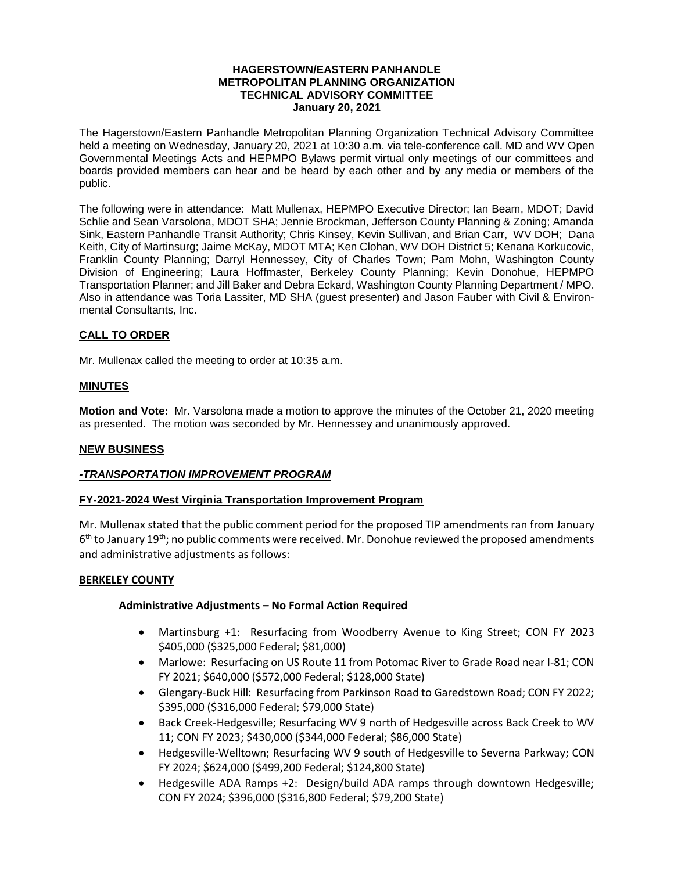#### **HAGERSTOWN/EASTERN PANHANDLE METROPOLITAN PLANNING ORGANIZATION TECHNICAL ADVISORY COMMITTEE January 20, 2021**

The Hagerstown/Eastern Panhandle Metropolitan Planning Organization Technical Advisory Committee held a meeting on Wednesday, January 20, 2021 at 10:30 a.m. via tele-conference call. MD and WV Open Governmental Meetings Acts and HEPMPO Bylaws permit virtual only meetings of our committees and boards provided members can hear and be heard by each other and by any media or members of the public.

The following were in attendance: Matt Mullenax, HEPMPO Executive Director; Ian Beam, MDOT; David Schlie and Sean Varsolona, MDOT SHA; Jennie Brockman, Jefferson County Planning & Zoning; Amanda Sink, Eastern Panhandle Transit Authority; Chris Kinsey, Kevin Sullivan, and Brian Carr, WV DOH; Dana Keith, City of Martinsurg; Jaime McKay, MDOT MTA; Ken Clohan, WV DOH District 5; Kenana Korkucovic, Franklin County Planning; Darryl Hennessey, City of Charles Town; Pam Mohn, Washington County Division of Engineering; Laura Hoffmaster, Berkeley County Planning; Kevin Donohue, HEPMPO Transportation Planner; and Jill Baker and Debra Eckard, Washington County Planning Department / MPO. Also in attendance was Toria Lassiter, MD SHA (guest presenter) and Jason Fauber with Civil & Environmental Consultants, Inc.

# **CALL TO ORDER**

Mr. Mullenax called the meeting to order at 10:35 a.m.

### **MINUTES**

**Motion and Vote:** Mr. Varsolona made a motion to approve the minutes of the October 21, 2020 meeting as presented. The motion was seconded by Mr. Hennessey and unanimously approved.

#### **NEW BUSINESS**

## *-TRANSPORTATION IMPROVEMENT PROGRAM*

## **FY-2021-2024 West Virginia Transportation Improvement Program**

Mr. Mullenax stated that the public comment period for the proposed TIP amendments ran from January 6<sup>th</sup> to January 19<sup>th</sup>; no public comments were received. Mr. Donohue reviewed the proposed amendments and administrative adjustments as follows:

#### **BERKELEY COUNTY**

## **Administrative Adjustments – No Formal Action Required**

- Martinsburg +1: Resurfacing from Woodberry Avenue to King Street; CON FY 2023 \$405,000 (\$325,000 Federal; \$81,000)
- Marlowe: Resurfacing on US Route 11 from Potomac River to Grade Road near I-81; CON FY 2021; \$640,000 (\$572,000 Federal; \$128,000 State)
- Glengary-Buck Hill: Resurfacing from Parkinson Road to Garedstown Road; CON FY 2022; \$395,000 (\$316,000 Federal; \$79,000 State)
- Back Creek-Hedgesville; Resurfacing WV 9 north of Hedgesville across Back Creek to WV 11; CON FY 2023; \$430,000 (\$344,000 Federal; \$86,000 State)
- Hedgesville-Welltown; Resurfacing WV 9 south of Hedgesville to Severna Parkway; CON FY 2024; \$624,000 (\$499,200 Federal; \$124,800 State)
- Hedgesville ADA Ramps +2: Design/build ADA ramps through downtown Hedgesville; CON FY 2024; \$396,000 (\$316,800 Federal; \$79,200 State)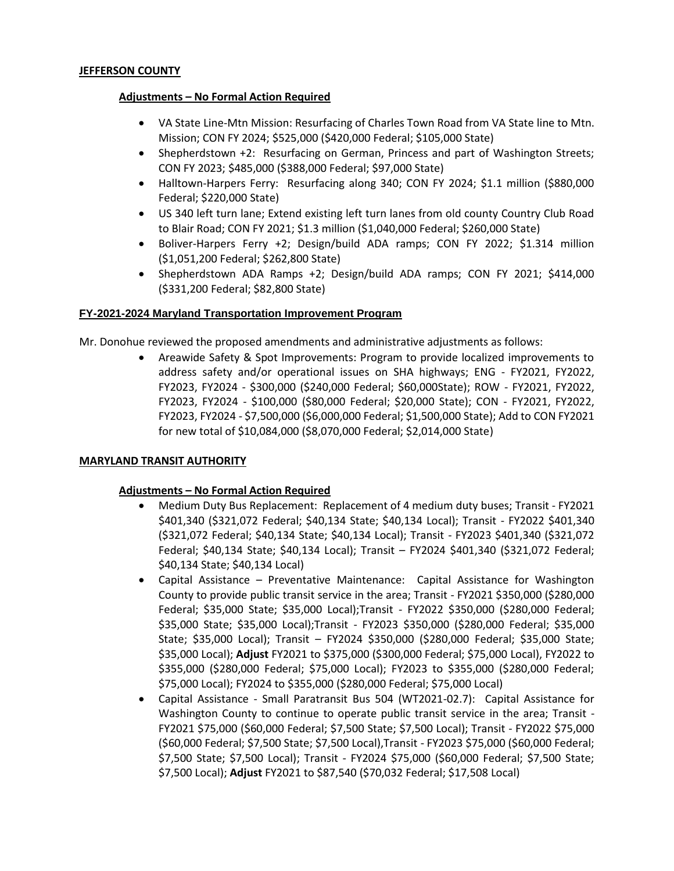# **Adjustments – No Formal Action Required**

- VA State Line-Mtn Mission: Resurfacing of Charles Town Road from VA State line to Mtn. Mission; CON FY 2024; \$525,000 (\$420,000 Federal; \$105,000 State)
- Shepherdstown +2: Resurfacing on German, Princess and part of Washington Streets; CON FY 2023; \$485,000 (\$388,000 Federal; \$97,000 State)
- Halltown-Harpers Ferry: Resurfacing along 340; CON FY 2024; \$1.1 million (\$880,000 Federal; \$220,000 State)
- US 340 left turn lane; Extend existing left turn lanes from old county Country Club Road to Blair Road; CON FY 2021; \$1.3 million (\$1,040,000 Federal; \$260,000 State)
- Boliver-Harpers Ferry +2; Design/build ADA ramps; CON FY 2022; \$1.314 million (\$1,051,200 Federal; \$262,800 State)
- Shepherdstown ADA Ramps +2; Design/build ADA ramps; CON FY 2021; \$414,000 (\$331,200 Federal; \$82,800 State)

## **FY-2021-2024 Maryland Transportation Improvement Program**

Mr. Donohue reviewed the proposed amendments and administrative adjustments as follows:

 Areawide Safety & Spot Improvements: Program to provide localized improvements to address safety and/or operational issues on SHA highways; ENG - FY2021, FY2022, FY2023, FY2024 - \$300,000 (\$240,000 Federal; \$60,000State); ROW - FY2021, FY2022, FY2023, FY2024 - \$100,000 (\$80,000 Federal; \$20,000 State); CON - FY2021, FY2022, FY2023, FY2024 - \$7,500,000 (\$6,000,000 Federal; \$1,500,000 State); Add to CON FY2021 for new total of \$10,084,000 (\$8,070,000 Federal; \$2,014,000 State)

## **MARYLAND TRANSIT AUTHORITY**

## **Adjustments – No Formal Action Required**

- Medium Duty Bus Replacement: Replacement of 4 medium duty buses; Transit FY2021 \$401,340 (\$321,072 Federal; \$40,134 State; \$40,134 Local); Transit - FY2022 \$401,340 (\$321,072 Federal; \$40,134 State; \$40,134 Local); Transit - FY2023 \$401,340 (\$321,072 Federal; \$40,134 State; \$40,134 Local); Transit – FY2024 \$401,340 (\$321,072 Federal; \$40,134 State; \$40,134 Local)
- Capital Assistance Preventative Maintenance: Capital Assistance for Washington County to provide public transit service in the area; Transit - FY2021 \$350,000 (\$280,000 Federal; \$35,000 State; \$35,000 Local);Transit - FY2022 \$350,000 (\$280,000 Federal; \$35,000 State; \$35,000 Local);Transit - FY2023 \$350,000 (\$280,000 Federal; \$35,000 State; \$35,000 Local); Transit – FY2024 \$350,000 (\$280,000 Federal; \$35,000 State; \$35,000 Local); **Adjust** FY2021 to \$375,000 (\$300,000 Federal; \$75,000 Local), FY2022 to \$355,000 (\$280,000 Federal; \$75,000 Local); FY2023 to \$355,000 (\$280,000 Federal; \$75,000 Local); FY2024 to \$355,000 (\$280,000 Federal; \$75,000 Local)
- Capital Assistance Small Paratransit Bus 504 (WT2021-02.7): Capital Assistance for Washington County to continue to operate public transit service in the area; Transit -FY2021 \$75,000 (\$60,000 Federal; \$7,500 State; \$7,500 Local); Transit - FY2022 \$75,000 (\$60,000 Federal; \$7,500 State; \$7,500 Local),Transit - FY2023 \$75,000 (\$60,000 Federal; \$7,500 State; \$7,500 Local); Transit - FY2024 \$75,000 (\$60,000 Federal; \$7,500 State; \$7,500 Local); **Adjust** FY2021 to \$87,540 (\$70,032 Federal; \$17,508 Local)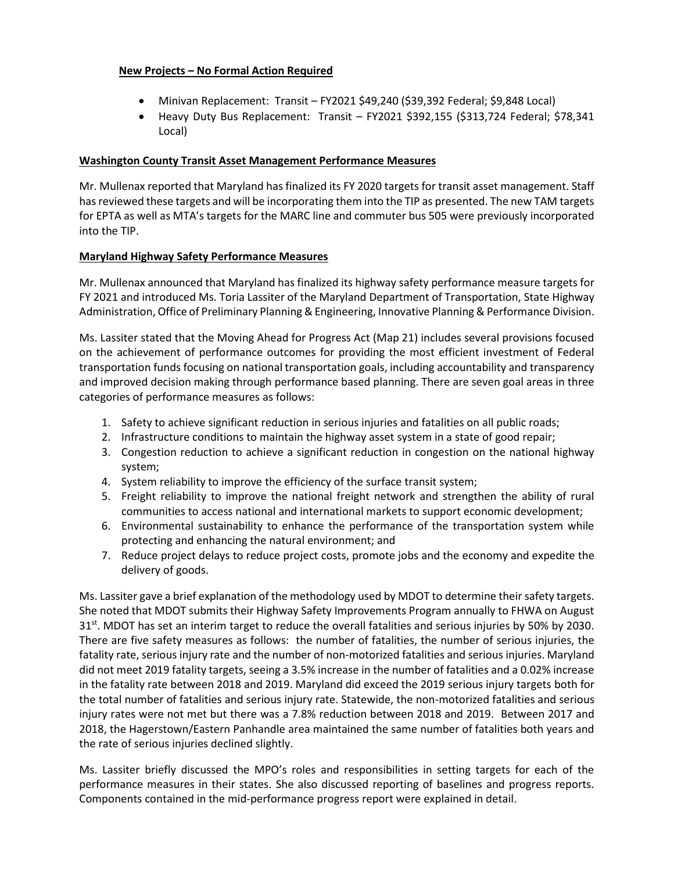# **New Projects – No Formal Action Required**

- Minivan Replacement: Transit FY2021 \$49,240 (\$39,392 Federal; \$9,848 Local)
- Heavy Duty Bus Replacement: Transit FY2021 \$392,155 (\$313,724 Federal; \$78,341 Local)

# **Washington County Transit Asset Management Performance Measures**

Mr. Mullenax reported that Maryland has finalized its FY 2020 targets for transit asset management. Staff has reviewed these targets and will be incorporating them into the TIP as presented. The new TAM targets for EPTA as well as MTA's targets for the MARC line and commuter bus 505 were previously incorporated into the TIP.

# **Maryland Highway Safety Performance Measures**

Mr. Mullenax announced that Maryland has finalized its highway safety performance measure targets for FY 2021 and introduced Ms. Toria Lassiter of the Maryland Department of Transportation, State Highway Administration, Office of Preliminary Planning & Engineering, Innovative Planning & Performance Division.

Ms. Lassiter stated that the Moving Ahead for Progress Act (Map 21) includes several provisions focused on the achievement of performance outcomes for providing the most efficient investment of Federal transportation funds focusing on national transportation goals, including accountability and transparency and improved decision making through performance based planning. There are seven goal areas in three categories of performance measures as follows:

- 1. Safety to achieve significant reduction in serious injuries and fatalities on all public roads;
- 2. Infrastructure conditions to maintain the highway asset system in a state of good repair;
- 3. Congestion reduction to achieve a significant reduction in congestion on the national highway system;
- 4. System reliability to improve the efficiency of the surface transit system;
- 5. Freight reliability to improve the national freight network and strengthen the ability of rural communities to access national and international markets to support economic development;
- 6. Environmental sustainability to enhance the performance of the transportation system while protecting and enhancing the natural environment; and
- 7. Reduce project delays to reduce project costs, promote jobs and the economy and expedite the delivery of goods.

Ms. Lassiter gave a brief explanation of the methodology used by MDOT to determine their safety targets. She noted that MDOT submits their Highway Safety Improvements Program annually to FHWA on August 31<sup>st</sup>. MDOT has set an interim target to reduce the overall fatalities and serious injuries by 50% by 2030. There are five safety measures as follows: the number of fatalities, the number of serious injuries, the fatality rate, serious injury rate and the number of non-motorized fatalities and serious injuries. Maryland did not meet 2019 fatality targets, seeing a 3.5% increase in the number of fatalities and a 0.02% increase in the fatality rate between 2018 and 2019. Maryland did exceed the 2019 serious injury targets both for the total number of fatalities and serious injury rate. Statewide, the non-motorized fatalities and serious injury rates were not met but there was a 7.8% reduction between 2018 and 2019. Between 2017 and 2018, the Hagerstown/Eastern Panhandle area maintained the same number of fatalities both years and the rate of serious injuries declined slightly.

Ms. Lassiter briefly discussed the MPO's roles and responsibilities in setting targets for each of the performance measures in their states. She also discussed reporting of baselines and progress reports. Components contained in the mid-performance progress report were explained in detail.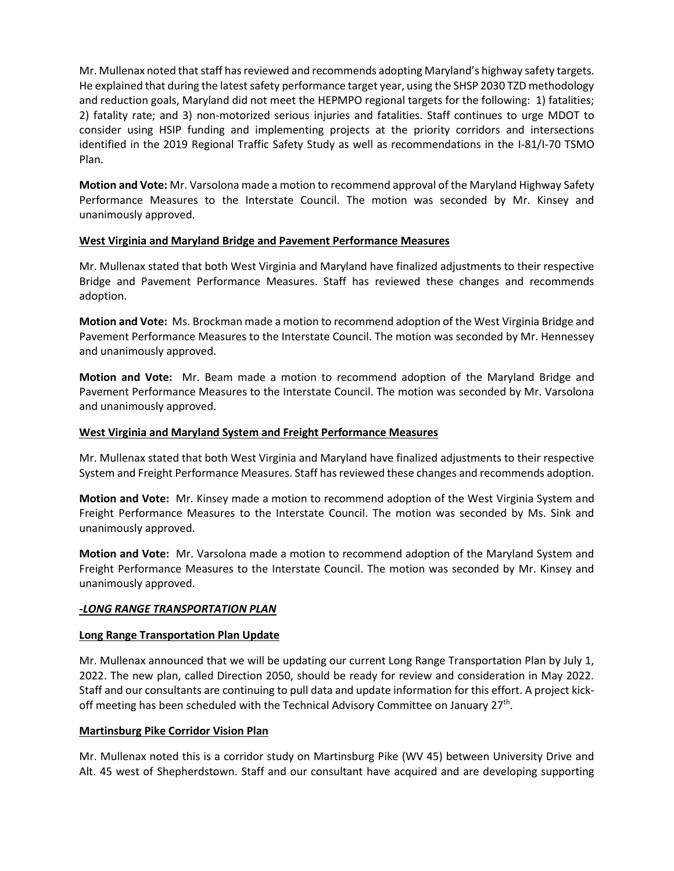Mr. Mullenax noted that staff has reviewed and recommends adopting Maryland's highway safety targets. He explained that during the latest safety performance target year, using the SHSP 2030 TZD methodology and reduction goals, Maryland did not meet the HEPMPO regional targets for the following: 1) fatalities; 2) fatality rate; and 3) non-motorized serious injuries and fatalities. Staff continues to urge MDOT to consider using HSIP funding and implementing projects at the priority corridors and intersections identified in the 2019 Regional Traffic Safety Study as well as recommendations in the I-81/I-70 TSMO Plan.

**Motion and Vote:** Mr. Varsolona made a motion to recommend approval of the Maryland Highway Safety Performance Measures to the Interstate Council. The motion was seconded by Mr. Kinsey and unanimously approved.

## **West Virginia and Maryland Bridge and Pavement Performance Measures**

Mr. Mullenax stated that both West Virginia and Maryland have finalized adjustments to their respective Bridge and Pavement Performance Measures. Staff has reviewed these changes and recommends adoption.

**Motion and Vote:** Ms. Brockman made a motion to recommend adoption of the West Virginia Bridge and Pavement Performance Measures to the Interstate Council. The motion was seconded by Mr. Hennessey and unanimously approved.

**Motion and Vote:** Mr. Beam made a motion to recommend adoption of the Maryland Bridge and Pavement Performance Measures to the Interstate Council. The motion was seconded by Mr. Varsolona and unanimously approved.

### **West Virginia and Maryland System and Freight Performance Measures**

Mr. Mullenax stated that both West Virginia and Maryland have finalized adjustments to their respective System and Freight Performance Measures. Staff has reviewed these changes and recommends adoption.

**Motion and Vote:** Mr. Kinsey made a motion to recommend adoption of the West Virginia System and Freight Performance Measures to the Interstate Council. The motion was seconded by Ms. Sink and unanimously approved.

**Motion and Vote:** Mr. Varsolona made a motion to recommend adoption of the Maryland System and Freight Performance Measures to the Interstate Council. The motion was seconded by Mr. Kinsey and unanimously approved.

## *-LONG RANGE TRANSPORTATION PLAN*

#### **Long Range Transportation Plan Update**

Mr. Mullenax announced that we will be updating our current Long Range Transportation Plan by July 1, 2022. The new plan, called Direction 2050, should be ready for review and consideration in May 2022. Staff and our consultants are continuing to pull data and update information for this effort. A project kickoff meeting has been scheduled with the Technical Advisory Committee on January 27<sup>th</sup>.

#### **Martinsburg Pike Corridor Vision Plan**

Mr. Mullenax noted this is a corridor study on Martinsburg Pike (WV 45) between University Drive and Alt. 45 west of Shepherdstown. Staff and our consultant have acquired and are developing supporting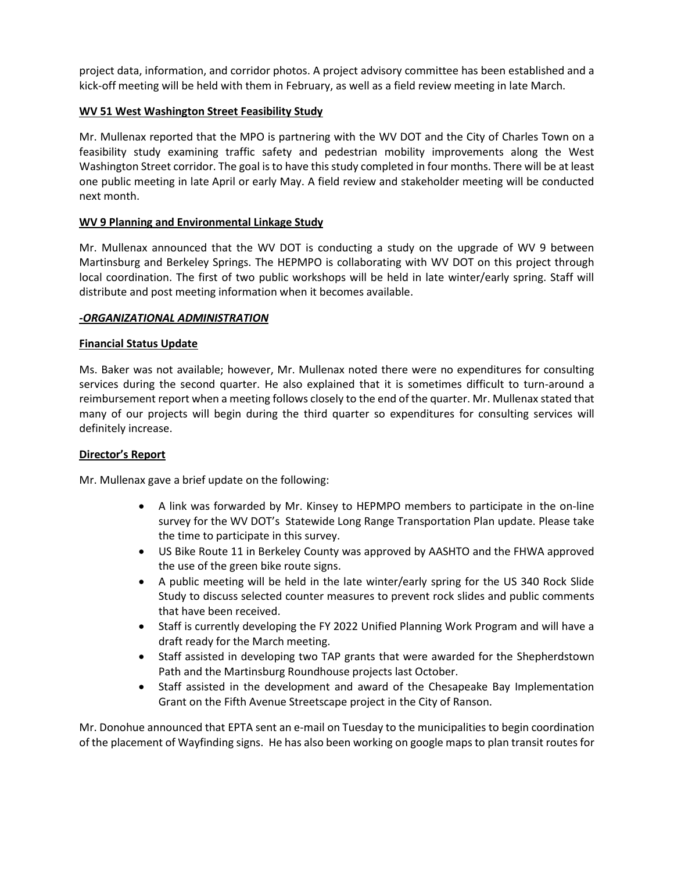project data, information, and corridor photos. A project advisory committee has been established and a kick-off meeting will be held with them in February, as well as a field review meeting in late March.

# **WV 51 West Washington Street Feasibility Study**

Mr. Mullenax reported that the MPO is partnering with the WV DOT and the City of Charles Town on a feasibility study examining traffic safety and pedestrian mobility improvements along the West Washington Street corridor. The goal is to have this study completed in four months. There will be at least one public meeting in late April or early May. A field review and stakeholder meeting will be conducted next month.

## **WV 9 Planning and Environmental Linkage Study**

Mr. Mullenax announced that the WV DOT is conducting a study on the upgrade of WV 9 between Martinsburg and Berkeley Springs. The HEPMPO is collaborating with WV DOT on this project through local coordination. The first of two public workshops will be held in late winter/early spring. Staff will distribute and post meeting information when it becomes available.

### *-ORGANIZATIONAL ADMINISTRATION*

### **Financial Status Update**

Ms. Baker was not available; however, Mr. Mullenax noted there were no expenditures for consulting services during the second quarter. He also explained that it is sometimes difficult to turn-around a reimbursement report when a meeting follows closely to the end of the quarter. Mr. Mullenax stated that many of our projects will begin during the third quarter so expenditures for consulting services will definitely increase.

#### **Director's Report**

Mr. Mullenax gave a brief update on the following:

- A link was forwarded by Mr. Kinsey to HEPMPO members to participate in the on-line survey for the WV DOT's Statewide Long Range Transportation Plan update. Please take the time to participate in this survey.
- US Bike Route 11 in Berkeley County was approved by AASHTO and the FHWA approved the use of the green bike route signs.
- A public meeting will be held in the late winter/early spring for the US 340 Rock Slide Study to discuss selected counter measures to prevent rock slides and public comments that have been received.
- Staff is currently developing the FY 2022 Unified Planning Work Program and will have a draft ready for the March meeting.
- Staff assisted in developing two TAP grants that were awarded for the Shepherdstown Path and the Martinsburg Roundhouse projects last October.
- Staff assisted in the development and award of the Chesapeake Bay Implementation Grant on the Fifth Avenue Streetscape project in the City of Ranson.

Mr. Donohue announced that EPTA sent an e-mail on Tuesday to the municipalities to begin coordination of the placement of Wayfinding signs. He has also been working on google maps to plan transit routes for